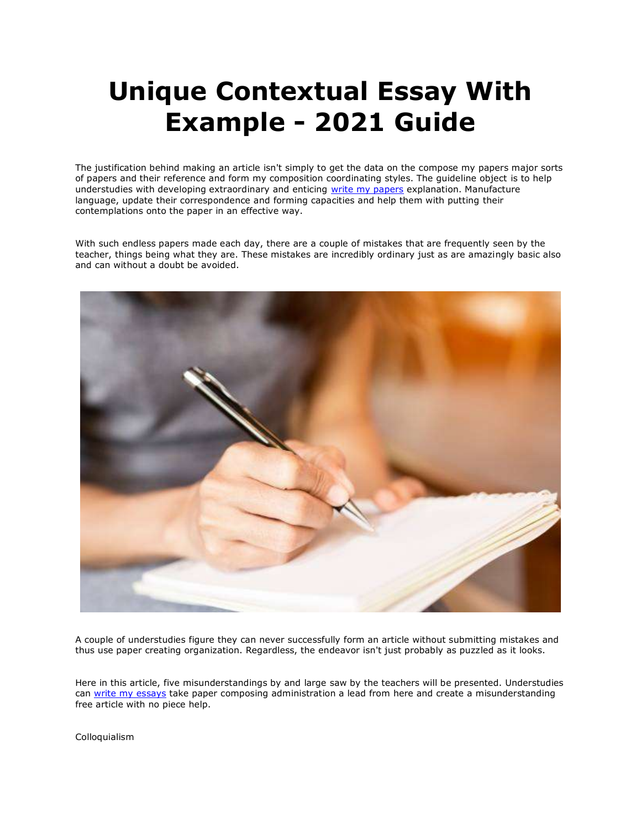# **Unique Contextual Essay With Example - 2021 Guide**

The justification behind making an article isn't simply to get the data on the compose my papers major sorts of papers and their reference and form my composition coordinating styles. The guideline object is to help understudies with developing extraordinary and enticing [write my papers](https://www.myperfectpaper.net/) explanation. Manufacture language, update their correspondence and forming capacities and help them with putting their contemplations onto the paper in an effective way.

With such endless papers made each day, there are a couple of mistakes that are frequently seen by the teacher, things being what they are. These mistakes are incredibly ordinary just as are amazingly basic also and can without a doubt be avoided.



A couple of understudies figure they can never successfully form an article without submitting mistakes and thus use paper creating organization. Regardless, the endeavor isn't just probably as puzzled as it looks.

Here in this article, five misunderstandings by and large saw by the teachers will be presented. Understudies can [write my essays](https://www.writemyessay.help/) take paper composing administration a lead from here and create a misunderstanding free article with no piece help.

Colloquialism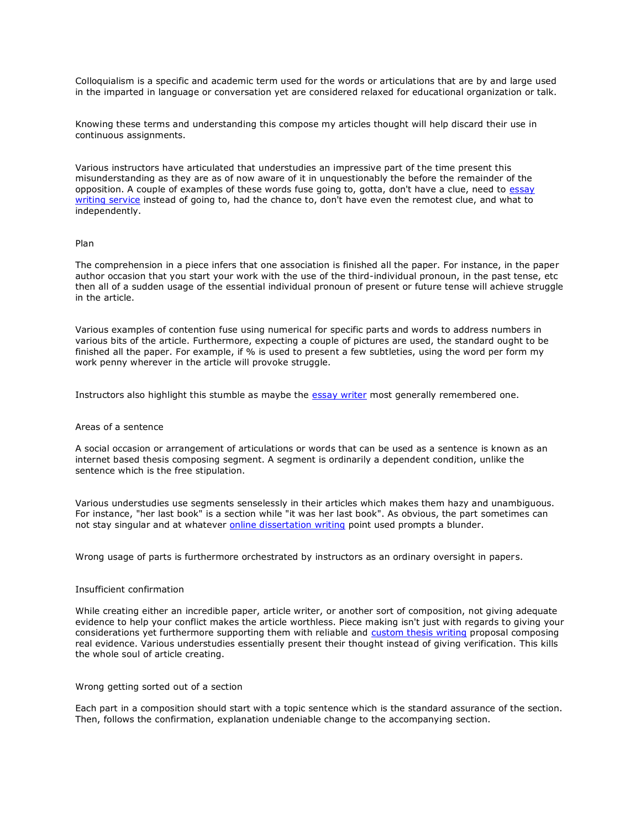Colloquialism is a specific and academic term used for the words or articulations that are by and large used in the imparted in language or conversation yet are considered relaxed for educational organization or talk.

Knowing these terms and understanding this compose my articles thought will help discard their use in continuous assignments.

Various instructors have articulated that understudies an impressive part of the time present this misunderstanding as they are as of now aware of it in unquestionably the before the remainder of the opposition. A couple of examples of these words fuse going to, gotta, don't have a clue, need to essay [writing service](https://essayhours.com/) instead of going to, had the chance to, don't have even the remotest clue, and what to independently.

#### Plan

The comprehension in a piece infers that one association is finished all the paper. For instance, in the paper author occasion that you start your work with the use of the third-individual pronoun, in the past tense, etc then all of a sudden usage of the essential individual pronoun of present or future tense will achieve struggle in the article.

Various examples of contention fuse using numerical for specific parts and words to address numbers in various bits of the article. Furthermore, expecting a couple of pictures are used, the standard ought to be finished all the paper. For example, if % is used to present a few subtleties, using the word per form my work penny wherever in the article will provoke struggle.

Instructors also highlight this stumble as maybe the [essay writer](https://www.collegeessay.org/) most generally remembered one.

## Areas of a sentence

A social occasion or arrangement of articulations or words that can be used as a sentence is known as an internet based thesis composing segment. A segment is ordinarily a dependent condition, unlike the sentence which is the free stipulation.

Various understudies use segments senselessly in their articles which makes them hazy and unambiguous. For instance, "her last book" is a section while "it was her last book". As obvious, the part sometimes can not stay singular and at whatever **[online dissertation writing](https://www.gradschoolgenius.com/dissertation-writing-services) point used prompts a blunder.** 

Wrong usage of parts is furthermore orchestrated by instructors as an ordinary oversight in papers.

### Insufficient confirmation

While creating either an incredible paper, article writer, or another sort of composition, not giving adequate evidence to help your conflict makes the article worthless. Piece making isn't just with regards to giving your considerations yet furthermore supporting them with reliable and [custom thesis writing](https://www.gradschoolgenius.com/custom-thesis) proposal composing real evidence. Various understudies essentially present their thought instead of giving verification. This kills the whole soul of article creating.

#### Wrong getting sorted out of a section

Each part in a composition should start with a topic sentence which is the standard assurance of the section. Then, follows the confirmation, explanation undeniable change to the accompanying section.